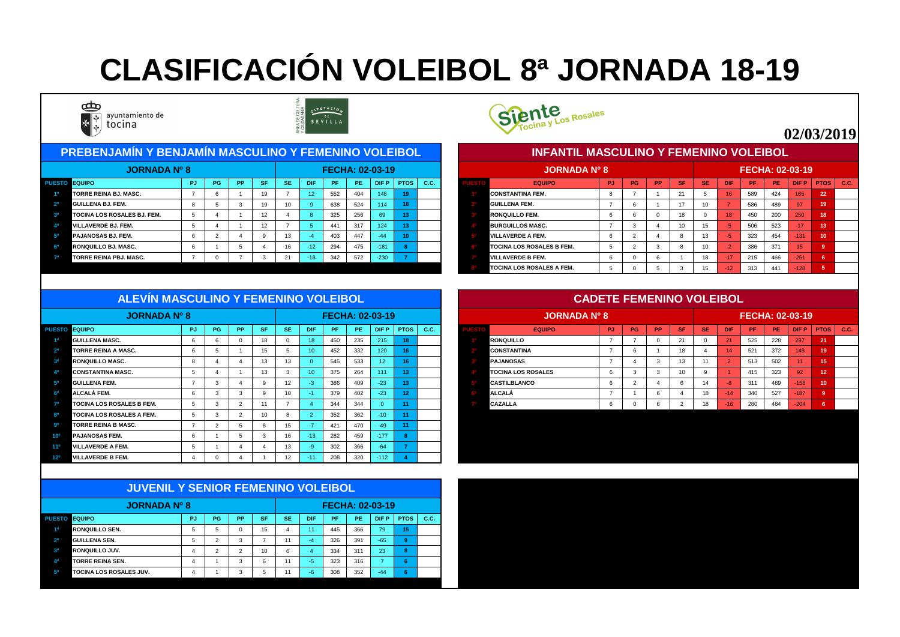| <b>PREBENJAMÍN Y BENJAMÍN MASCULINO Y FEMENINO VOLEIBOL</b> |           |           |                 |           |                 |           |                 |                        |                 |      |  | <b>INFANTIL MASCULINO Y FEMENINO VOLEIBOL</b> |           |    |           |           |                 |            |                        |           |                 |      |      |
|-------------------------------------------------------------|-----------|-----------|-----------------|-----------|-----------------|-----------|-----------------|------------------------|-----------------|------|--|-----------------------------------------------|-----------|----|-----------|-----------|-----------------|------------|------------------------|-----------|-----------------|------|------|
| <b>JORNADA Nº 8</b>                                         |           |           |                 |           |                 |           |                 | <b>FECHA: 02-03-19</b> |                 |      |  | <b>JORNADA Nº 8</b>                           |           |    |           |           |                 |            | <b>FECHA: 02-03-19</b> |           |                 |      |      |
| <b>UESTO EQUIPO</b>                                         | <b>PG</b> | <b>PP</b> | <b>SF</b>       | <b>SE</b> | <b>DIF</b>      | <b>PF</b> | PE <sub>1</sub> | <b>DIFP</b>            | <b>PTOS</b>     | C.C. |  | <b>EQUIPO</b>                                 | <b>PJ</b> | PG | <b>PP</b> | <b>SF</b> | <b>SE</b>       | <b>DIF</b> | <b>PF</b>              | <b>PE</b> | <b>DIFP</b>     | PTOS | C.C. |
| <b>TORRE REINA BJ. MASC.</b>                                |           |           | 19              |           | 12 <sup>°</sup> | 552       | 404             | 148                    | 19 <sup>°</sup> |      |  | <b>CONSTANTINA FEM.</b>                       |           |    |           |           |                 | 16         | 589                    | 424       | 165             | 22   |      |
| <b>GUILLENA BJ. FEM.</b>                                    |           |           | 19              | 10        |                 | 638       | 524             | 114                    | 18              |      |  | <b>GUILLENA FEM.</b>                          |           |    |           |           |                 |            | 586                    | 489       | 97              | 19   |      |
| TOCINA LOS ROSALES BJ. FEM.                                 |           |           | 12              |           |                 | 325       | 256             | 69                     | 13              |      |  | <b>RONQUILLO FEM.</b>                         |           |    |           |           |                 | 18         | 450                    | 200       | 250             | 18   |      |
| <b>VILLAVERDE BJ. FEM.</b>                                  |           |           | 12 <sup>2</sup> |           |                 | 441       | 317             | 124                    |                 |      |  | <b>BURGUILLOS MASC.</b>                       |           |    |           |           | 15 <sup>2</sup> |            | 506                    | 523       | 17              |      |      |
| <b>PAJANOSAS BJ. FEM.</b>                                   |           |           |                 | 13        |                 | 403       | 447             | $-44$                  | 10 <sup>°</sup> |      |  | <b>VILLAVERDE A FEM.</b>                      |           |    |           |           | 13              |            | 323                    | 454       | $-131$          | 10   |      |
| <b>RONQUILLO BJ. MASC.</b>                                  |           |           |                 | 16        | $-127$          | 294       | 475             | $-181$                 |                 |      |  | <b>TOCINA LOS ROSALES B FEM.</b>              |           |    |           |           | 10 <sup>°</sup> |            | 386                    | 371       | 15 <sup>1</sup> |      |      |
| <b>TORRE REINA PBJ. MASC.</b>                               |           |           |                 | 21        | $-18$           | 342       | 572             | $-230$                 |                 |      |  | <b>VILLAVERDE B FEM.</b>                      |           |    |           |           | 18              | $-17$      | 215                    | 466       | $-251$          |      |      |



|      | <b>JORNADA Nº 8</b>              |           |                |           |           |           |                 |     |           | <b>FECHA: 02-03-19</b> |                |             |
|------|----------------------------------|-----------|----------------|-----------|-----------|-----------|-----------------|-----|-----------|------------------------|----------------|-------------|
| ESTO | <b>EQUIPO</b>                    | <b>PJ</b> | <b>PG</b>      | <b>PP</b> | <b>SF</b> | <b>SE</b> | <b>DIF</b>      | PF  | <b>PE</b> | <b>DIFP</b>            | <b>PTOS</b>    | <b>C.C.</b> |
|      | ICONSTANTINA FEM.                | 8         |                |           | 21        | 5         | 16              | 589 | 424       | 165                    | 22             |             |
|      | IGUILLENA FEM.                   | 7         | 6              |           | 17        | 10        | $\overline{7}$  | 586 | 489       | 97                     | 19             |             |
|      | <b>IRONQUILLO FEM.</b>           | 6         | 6              | $\Omega$  | 18        | $\Omega$  | 18 <sup>1</sup> | 450 | 200       | 250                    | 18             |             |
|      | <b>BURGUILLOS MASC.</b>          |           | 3              | 4         | 10        | 15        | $-5$            | 506 | 523       | $-17$                  | 13             |             |
|      | <b>VILLAVERDE A FEM.</b>         | 6         | $\overline{2}$ | 4         | 8         | 13        | $-5$            | 323 | 454       | $-131$                 | 10             |             |
|      | <b>TOCINA LOS ROSALES B FEM.</b> | 5         | 2              | 3         | 8         | 10        | $-2$            | 386 | 371       | 15                     | 9              |             |
|      | <b>IVILLAVERDE B FEM.</b>        | 6         | 0              | 6         |           | 18        | $-17$           | 215 | 466       | $-251$                 | 6              |             |
|      | <b>TOCINA LOS ROSALES A FEM.</b> | 5         |                | 5         | 3         | 15        | $-12$           | 313 | 441       | $-128$                 | $\overline{5}$ |             |

|                 | <b>JORNADA Nº 8</b>              |           |             |                |                 |     |              |           |     | <b>FECHA: 02-03-19</b> |                 |      |  | JORNADA Nº 8              |           |           |           |                |           |                 | <b>FECHA: 02-03-19</b> |     |                 |                 |      |
|-----------------|----------------------------------|-----------|-------------|----------------|-----------------|-----|--------------|-----------|-----|------------------------|-----------------|------|--|---------------------------|-----------|-----------|-----------|----------------|-----------|-----------------|------------------------|-----|-----------------|-----------------|------|
|                 | <b>PUESTO EQUIPO</b>             | <b>PJ</b> | PG          | <b>PP</b>      | <b>SF</b>       | SE/ | <b>DIF</b>   | <b>PF</b> | PE. | <b>DIFP</b>            | <b>PTOS</b>     | C.C. |  | <b>EQUIPO</b>             | <b>PJ</b> | <b>PG</b> | <b>PP</b> | <b>SF</b>      | <b>SE</b> | <b>DIF</b>      | PF                     | PE. | <b>DIFP</b>     | PTOS            | C.C. |
| 40              | <b>GUILLENA MASC.</b>            |           | 6           |                | 18              |     | $ 18\rangle$ | 450       | 235 | 215                    | 18              |      |  | <b>RONQUILLO</b>          | <u>т</u>  |           |           | 21             |           | $\overline{21}$ | 525                    | 228 | 297             | 21              |      |
| $2^{\circ}$     | TORRE REINA A MASC.              |           | $\mathbf b$ |                | 15 <sub>1</sub> |     |              | 452       | 332 | 120                    | 16              |      |  | <b>CONSTANTINA</b>        | -         |           |           |                |           | 14              | 521                    | 372 | 149             | 19              |      |
| 3 <sup>o</sup>  | <b>RONQUILLO MASC.</b>           |           |             |                | 13              | 13  |              | 545       | 533 | 12                     | 16              |      |  | <b>PAJANOSAS</b>          |           |           |           | 13             | 11        |                 | 513                    | 502 | 11 <sup>1</sup> | 15              |      |
|                 | <b>CONSTANTINA MASC.</b>         |           |             |                | 13              |     |              | 375       | 264 | 111                    | 13              |      |  | <b>TOCINA LOS ROSALES</b> | n         |           |           |                |           |                 | 415                    | 323 | 92              | 12              |      |
| 50              | <b>GUILLENA FEM.</b>             |           |             |                |                 | 12  |              | 386       | 409 | $-23$                  | $\overline{13}$ |      |  | <b>CASTILBLANCO</b>       | n         |           |           | <b>b</b>       | 14        | -8              | 311                    | 469 | $-158$          | 10 <sub>1</sub> |      |
| 6°              | ALCALÁ FEM.                      |           | 3           | -3             |                 | 10  |              | 379       | 402 | $-23$                  | 12              |      |  | <b>ALCALÁ</b>             |           |           |           |                | 18        | $-14$           | 340                    | 527 | $-187$          |                 |      |
|                 | <b>TOCINA LOS ROSALES B FEM.</b> |           | 3           | $\overline{2}$ |                 |     |              | 344       | 344 | $\Omega$               |                 |      |  | CAZALLA                   | b         |           |           | $\overline{2}$ | 18        | $-16$           | 280                    | 484 | $-204$          |                 |      |
| ΩO              | <b>TOCINA LOS ROSALES A FEM.</b> |           | 3           | $\overline{2}$ | 10 <sup>°</sup> |     |              | 352       | 362 | $-10$                  |                 |      |  |                           |           |           |           |                |           |                 |                        |     |                 |                 |      |
| <b>QO</b>       | <b>TORRE REINA B MASC.</b>       |           | ົ           |                |                 | 15  |              | 421       | 470 | $-49$                  |                 |      |  |                           |           |           |           |                |           |                 |                        |     |                 |                 |      |
| 10º             | <b>PAJANOSAS FEM.</b>            |           |             |                |                 | 16  | $-13$        | 282       | 459 | $-177$                 |                 |      |  |                           |           |           |           |                |           |                 |                        |     |                 |                 |      |
| 110             | <b>VILLAVERDE A FEM.</b>         |           |             |                |                 | 13  |              | 302       | 366 | $-64$                  |                 |      |  |                           |           |           |           |                |           |                 |                        |     |                 |                 |      |
| 12 <sup>o</sup> | <b>VILLAVERDE B FEM.</b>         |           | $\Omega$    |                |                 | 12  | $-11$        | 208       | 320 | $-112$                 |                 |      |  |                           |           |           |           |                |           |                 |                        |     |                 |                 |      |

|                | <b>JUVENIL Y SENIOR FEMENINO VOLEIBOL</b> |           |    |               |           |           |            |           |           |                 |             |      |
|----------------|-------------------------------------------|-----------|----|---------------|-----------|-----------|------------|-----------|-----------|-----------------|-------------|------|
|                | <b>JORNADA Nº 8</b>                       |           |    |               |           |           |            |           |           | FECHA: 02-03-19 |             |      |
| <b>PUESTO</b>  | <b>EQUIPO</b>                             | <b>PJ</b> | PG | <b>PP</b>     | <b>SF</b> | <b>SE</b> | <b>DIF</b> | <b>PF</b> | <b>PE</b> | <b>DIFP</b>     | <b>PTOS</b> | C.C. |
| 1 <sup>0</sup> | <b>IRONQUILLO SEN.</b>                    | 5         | 5  | $\Omega$      | 15        | 4         | 11         | 445       | 366       | 79              | 15          |      |
| 2 <sup>o</sup> | <b>GUILLENA SEN.</b>                      | 5         | 2  | 3             | 7         | 11        | $-4$       | 326       | 391       | $-65$           | 9           |      |
| 3 <sup>o</sup> | <b>RONQUILLO JUV.</b>                     | 4         | 2  | $\mathcal{P}$ | 10        | 6         | 4          | 334       | 311       | 23              | 8           |      |
| 4 <sup>0</sup> | <b>TORRE REINA SEN.</b>                   | 4         |    | 3             | 6         | 11        | $-5$       | 323       | 316       | $\overline{ }$  | 6           |      |
| 50             | <b>TOCINA LOS ROSALES JUV.</b>            | 4         |    | 3             | 5         | 11        | $-6$       | 308       | 352       | $-44$           | 6           |      |



#### **ALEVÍN MASCULINO Y FEMENINO VOLEIBOL**

|                | <b>JORNADA Nº 8</b>       |                |                |           |           |           |                |     |           | <b>FECHA: 02-03-19</b> |                |      |
|----------------|---------------------------|----------------|----------------|-----------|-----------|-----------|----------------|-----|-----------|------------------------|----------------|------|
| <b>PUESTO</b>  | <b>EQUIPO</b>             | <b>PJ</b>      | <b>PG</b>      | <b>PP</b> | <b>SF</b> | <b>SE</b> | <b>DIF</b>     | PF  | <b>PE</b> | <b>DIFP</b>            | <b>PTOS</b>    | C.C. |
| 40             | <b>RONQUILLO</b>          | $\overline{7}$ | $\overline{ }$ | $\Omega$  | 21        | 0         | 21             | 525 | 228       | 297                    | 21             |      |
| 2 <sup>0</sup> | <b>CONSTANTINA</b>        | 7              | 6              |           | 18        | 4         | 14             | 521 | 372       | 149                    | 19             |      |
| 30             | <b>PAJANOSAS</b>          | 7              | 4              | 3         | 13        | 11        | $\overline{2}$ | 513 | 502       | 11                     | 15             |      |
| 49             | <b>TOCINA LOS ROSALES</b> | 6              | 3              | 3         | 10        | 9         |                | 415 | 323       | 92                     | 12             |      |
| 50             | <b>CASTILBLANCO</b>       | 6              | 2              | 4         | 6         | 14        | $-8$           | 311 | 469       | $-158$                 | 10             |      |
| 60             | <b>ALCALÁ</b>             | 7              |                | 6         | 4         | 18        | $-14$          | 340 | 527       | $-187$                 | 9              |      |
| 70             | <b>CAZALLA</b>            | 6              | 0              | 6         | 2         | 18        | $-16$          | 280 | 484       | $-204$                 | $6\phantom{a}$ |      |
|                |                           |                |                |           |           |           |                |     |           |                        |                |      |

# **CLASIFICACIÓN VOLEIBOL 8ª JORNADA 18-19**



ayuntamiento de tocina



### **02/03/2019**

#### **CADETE FEMENINO VOLEIBOL**

#### **INFANTIL MASCULINO Y FEMENINO VOLEIBOL**